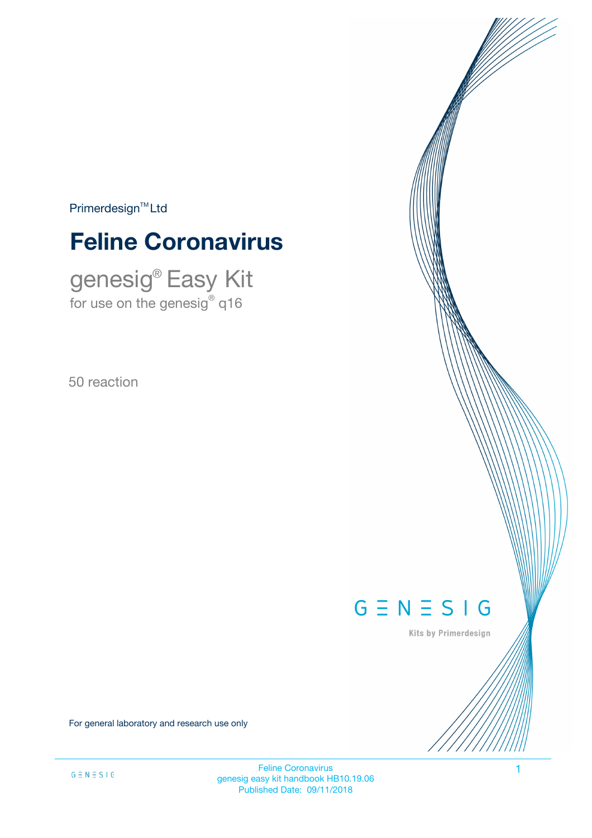$Primerdesign^{\text{TM}}Ltd$ 

# **Feline Coronavirus**

genesig® Easy Kit for use on the genesig $^\circ$  q16

50 reaction

# $G \equiv N \equiv S \mid G$

Kits by Primerdesign

For general laboratory and research use only

Feline Coronavirus 1 genesig easy kit handbook HB10.19.06 Published Date: 09/11/2018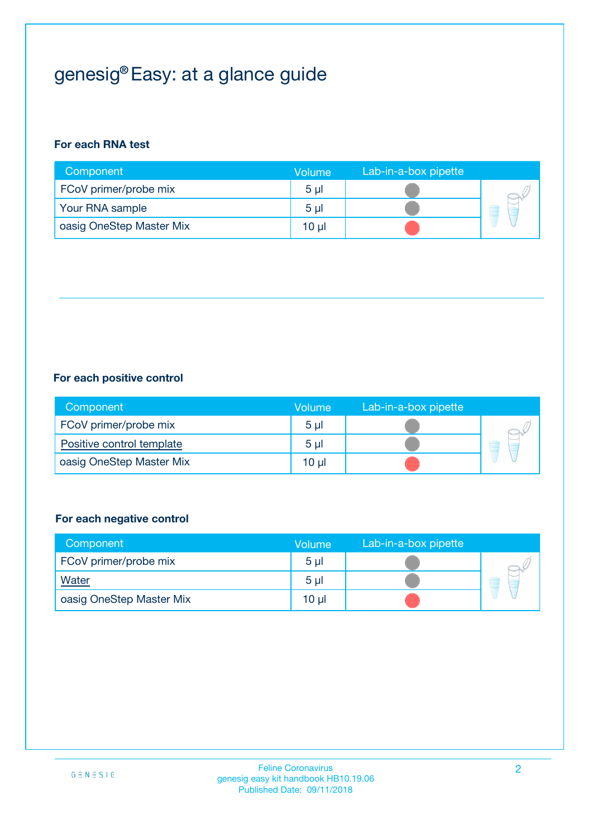# genesig® Easy: at a glance guide

#### **For each RNA test**

| Component                | <b>Volume</b>  | Lab-in-a-box pipette |  |
|--------------------------|----------------|----------------------|--|
| FCoV primer/probe mix    | 5 <sub>µ</sub> |                      |  |
| Your RNA sample          | 5 <sub>µ</sub> |                      |  |
| oasig OneStep Master Mix | 10 µl          |                      |  |

#### **For each positive control**

| Component                 | Volume         | Lab-in-a-box pipette |  |
|---------------------------|----------------|----------------------|--|
| FCoV primer/probe mix     | 5 <sub>µ</sub> |                      |  |
| Positive control template | 5 <sub>µ</sub> |                      |  |
| oasig OneStep Master Mix  | 10 µl          |                      |  |

#### **For each negative control**

| Component                | <b>Volume</b>  | Lab-in-a-box pipette |   |
|--------------------------|----------------|----------------------|---|
| FCoV primer/probe mix    | 5 <sub>µ</sub> |                      |   |
| Water                    | 5 <sub>µ</sub> |                      | 8 |
| oasig OneStep Master Mix | $10 \mu$       |                      |   |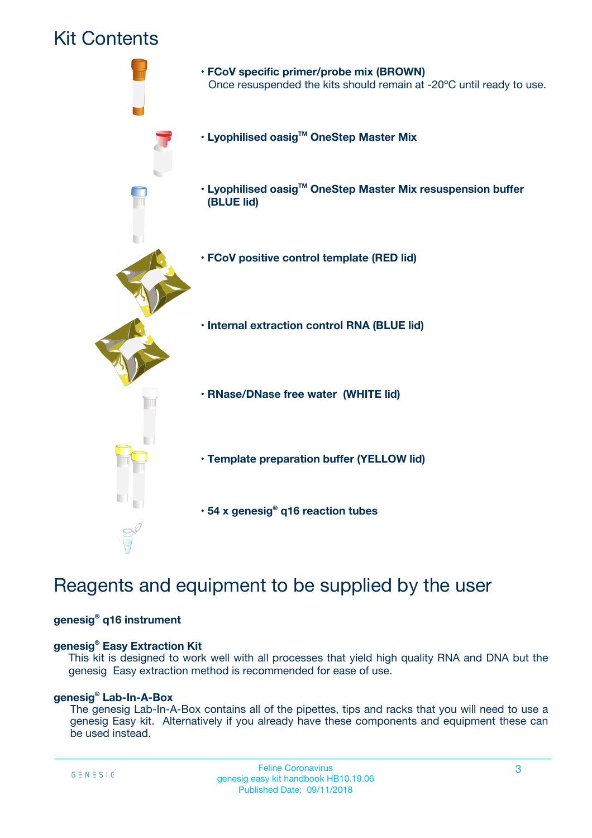## Kit Contents



## Reagents and equipment to be supplied by the user

#### **genesig® q16 instrument**

#### **genesig® Easy Extraction Kit**

This kit is designed to work well with all processes that yield high quality RNA and DNA but the genesig Easy extraction method is recommended for ease of use.

#### **genesig® Lab-In-A-Box**

The genesig Lab-In-A-Box contains all of the pipettes, tips and racks that you will need to use a genesig Easy kit. Alternatively if you already have these components and equipment these can be used instead.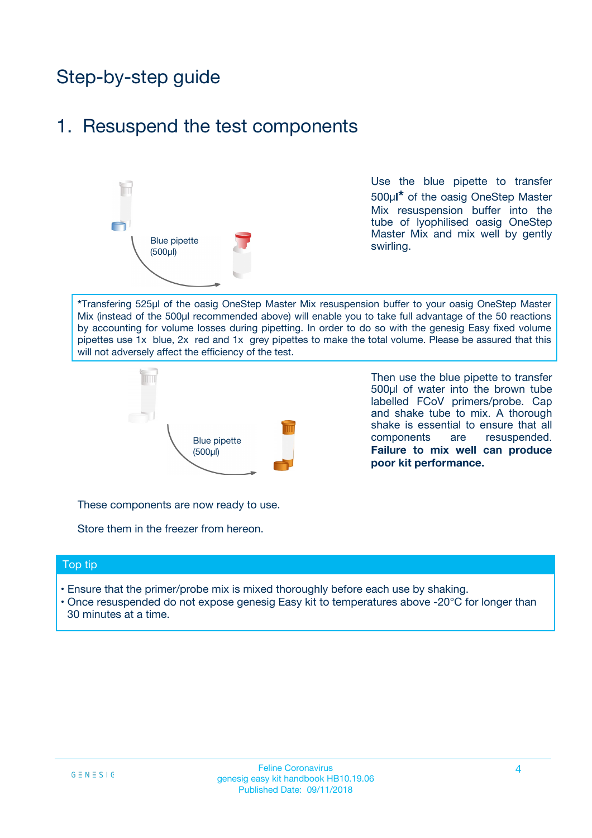## Step-by-step guide

### 1. Resuspend the test components



Use the blue pipette to transfer 500µ**l\*** of the oasig OneStep Master Mix resuspension buffer into the tube of lyophilised oasig OneStep Master Mix and mix well by gently swirling.

**\***Transfering 525µl of the oasig OneStep Master Mix resuspension buffer to your oasig OneStep Master Mix (instead of the 500µl recommended above) will enable you to take full advantage of the 50 reactions by accounting for volume losses during pipetting. In order to do so with the genesig Easy fixed volume pipettes use 1x blue, 2x red and 1x grey pipettes to make the total volume. Please be assured that this will not adversely affect the efficiency of the test.



Then use the blue pipette to transfer 500µl of water into the brown tube labelled FCoV primers/probe. Cap and shake tube to mix. A thorough shake is essential to ensure that all components are resuspended. **Failure to mix well can produce poor kit performance.**

These components are now ready to use.

Store them in the freezer from hereon.

#### Top tip

- Ensure that the primer/probe mix is mixed thoroughly before each use by shaking.
- Once resuspended do not expose genesig Easy kit to temperatures above -20°C for longer than 30 minutes at a time.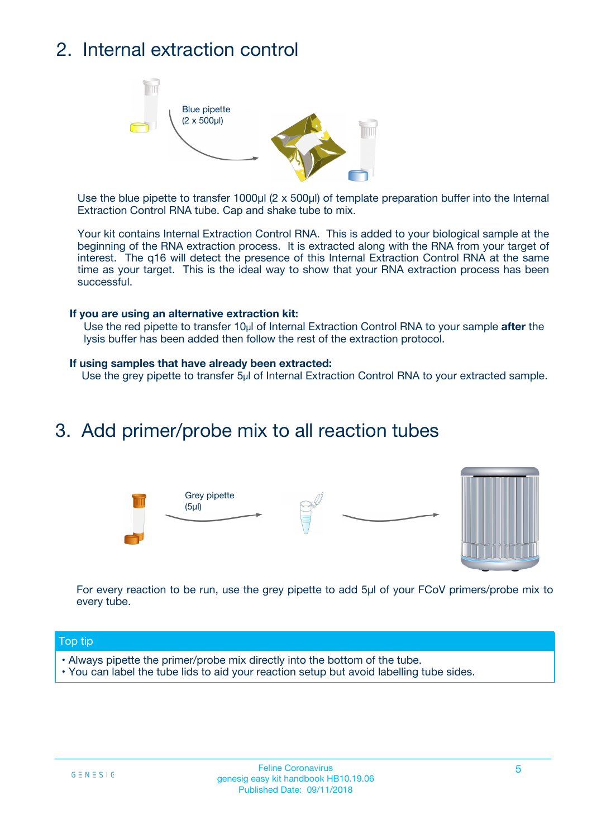## 2. Internal extraction control



Use the blue pipette to transfer 1000µl (2 x 500µl) of template preparation buffer into the Internal Extraction Control RNA tube. Cap and shake tube to mix.

Your kit contains Internal Extraction Control RNA. This is added to your biological sample at the beginning of the RNA extraction process. It is extracted along with the RNA from your target of interest. The q16 will detect the presence of this Internal Extraction Control RNA at the same time as your target. This is the ideal way to show that your RNA extraction process has been successful.

#### **If you are using an alternative extraction kit:**

Use the red pipette to transfer 10µl of Internal Extraction Control RNA to your sample **after** the lysis buffer has been added then follow the rest of the extraction protocol.

#### **If using samples that have already been extracted:**

Use the grey pipette to transfer 5µl of Internal Extraction Control RNA to your extracted sample.

### 3. Add primer/probe mix to all reaction tubes





For every reaction to be run, use the grey pipette to add 5µl of your FCoV primers/probe mix to every tube.

#### Top tip

- Always pipette the primer/probe mix directly into the bottom of the tube.
- You can label the tube lids to aid your reaction setup but avoid labelling tube sides.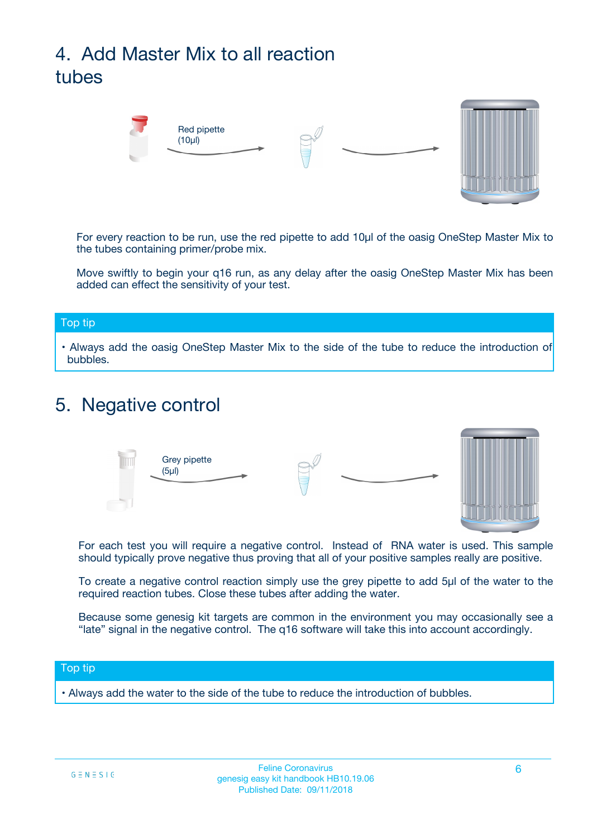# 4. Add Master Mix to all reaction tubes



For every reaction to be run, use the red pipette to add 10µl of the oasig OneStep Master Mix to the tubes containing primer/probe mix.

Move swiftly to begin your q16 run, as any delay after the oasig OneStep Master Mix has been added can effect the sensitivity of your test.

#### Top tip

**•** Always add the oasig OneStep Master Mix to the side of the tube to reduce the introduction of bubbles.

### 5. Negative control



For each test you will require a negative control. Instead of RNA water is used. This sample should typically prove negative thus proving that all of your positive samples really are positive.

To create a negative control reaction simply use the grey pipette to add 5µl of the water to the required reaction tubes. Close these tubes after adding the water.

Because some genesig kit targets are common in the environment you may occasionally see a "late" signal in the negative control. The q16 software will take this into account accordingly.

#### Top tip

**•** Always add the water to the side of the tube to reduce the introduction of bubbles.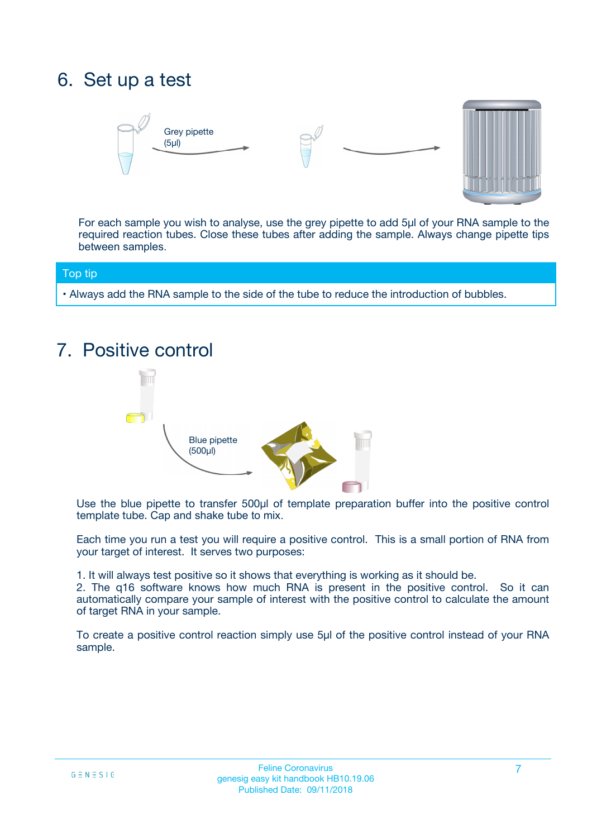## 6. Set up a test





For each sample you wish to analyse, use the grey pipette to add 5µl of your RNA sample to the required reaction tubes. Close these tubes after adding the sample. Always change pipette tips between samples.

#### Top tip

**•** Always add the RNA sample to the side of the tube to reduce the introduction of bubbles.

## 7. Positive control



Use the blue pipette to transfer 500µl of template preparation buffer into the positive control template tube. Cap and shake tube to mix.

Each time you run a test you will require a positive control. This is a small portion of RNA from your target of interest. It serves two purposes:

1. It will always test positive so it shows that everything is working as it should be.

2. The q16 software knows how much RNA is present in the positive control. So it can automatically compare your sample of interest with the positive control to calculate the amount of target RNA in your sample.

To create a positive control reaction simply use 5µl of the positive control instead of your RNA sample.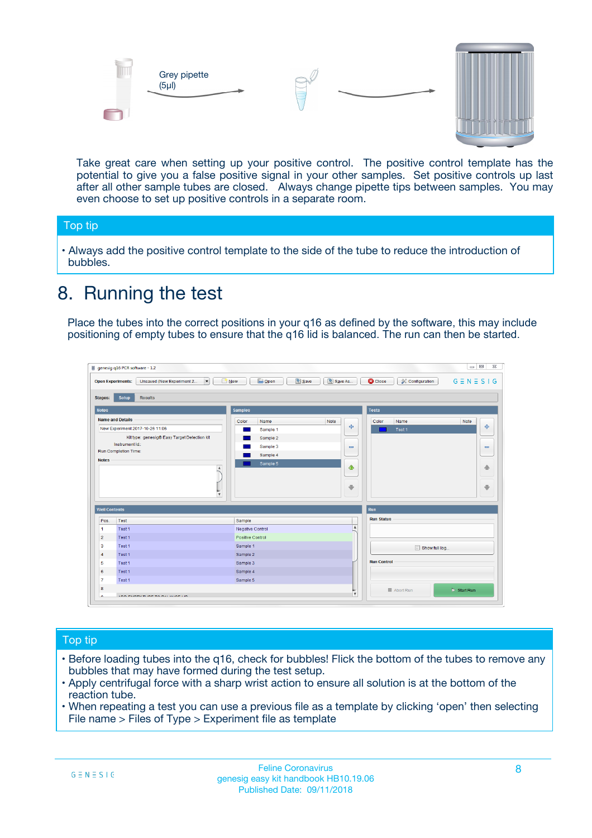



Take great care when setting up your positive control. The positive control template has the potential to give you a false positive signal in your other samples. Set positive controls up last after all other sample tubes are closed. Always change pipette tips between samples. You may even choose to set up positive controls in a separate room.

#### Top tip

**•** Always add the positive control template to the side of the tube to reduce the introduction of bubbles.

## 8. Running the test

Place the tubes into the correct positions in your q16 as defined by the software, this may include positioning of empty tubes to ensure that the q16 lid is balanced. The run can then be started.

|                         | genesig q16 PCR software - 1.2<br><b>Open Experiments:</b><br>Unsaved (New Experiment 2<br>$\blacktriangledown$                                                                                      | <b>E</b> Open<br>Save<br>$\sqrt{2}$ New                                   | $\Box$<br>Save As<br>$G \equiv N \equiv S \mid G$<br><b>B</b> Close<br><b>X</b> Configuration                    |
|-------------------------|------------------------------------------------------------------------------------------------------------------------------------------------------------------------------------------------------|---------------------------------------------------------------------------|------------------------------------------------------------------------------------------------------------------|
| Stages:<br><b>Notes</b> | Setup<br><b>Results</b>                                                                                                                                                                              | <b>Samples</b>                                                            |                                                                                                                  |
| <b>Notes</b>            | <b>Name and Details</b><br>New Experiment 2017-10-26 11:06<br>Kit type: genesig® Easy Target Detection kit<br>Instrument Id.:<br>Run Completion Time:<br>$\blacktriangle$<br>$\overline{\mathbf{v}}$ | Color<br>Name<br>Sample 1<br>Sample 2<br>Sample 3<br>Sample 4<br>Sample 5 | <b>Tests</b><br>Note<br>Color<br>Note<br>Name<br>على<br>4<br>Test 1<br>$\equiv$<br>$\equiv$<br>一个<br>借<br>÷<br>⊕ |
| <b>Well Contents</b>    |                                                                                                                                                                                                      |                                                                           | Run                                                                                                              |
| Pos.                    | Test                                                                                                                                                                                                 | Sample                                                                    | <b>Run Status</b>                                                                                                |
| $\blacktriangleleft$    | Test 1                                                                                                                                                                                               | Negative Control                                                          | $\blacktriangle$                                                                                                 |
| $\overline{2}$          | Test 1                                                                                                                                                                                               | Positive Control                                                          |                                                                                                                  |
| 3                       | Test 1                                                                                                                                                                                               | Sample 1                                                                  | Show full log                                                                                                    |
| $\overline{4}$          | Test 1                                                                                                                                                                                               | Sample 2                                                                  |                                                                                                                  |
| 5                       | Test 1                                                                                                                                                                                               | Sample 3                                                                  | <b>Run Control</b>                                                                                               |
| 6                       | Test <sub>1</sub>                                                                                                                                                                                    | Sample 4                                                                  |                                                                                                                  |
| $\overline{7}$          | Test 1                                                                                                                                                                                               | Sample 5                                                                  |                                                                                                                  |
| 8                       |                                                                                                                                                                                                      |                                                                           | $\triangleright$ Start Run<br>■ Abort Run                                                                        |
|                         |                                                                                                                                                                                                      |                                                                           | $\overline{\mathbf{v}}$                                                                                          |

#### Top tip

- Before loading tubes into the q16, check for bubbles! Flick the bottom of the tubes to remove any bubbles that may have formed during the test setup.
- Apply centrifugal force with a sharp wrist action to ensure all solution is at the bottom of the reaction tube.
- When repeating a test you can use a previous file as a template by clicking 'open' then selecting File name > Files of Type > Experiment file as template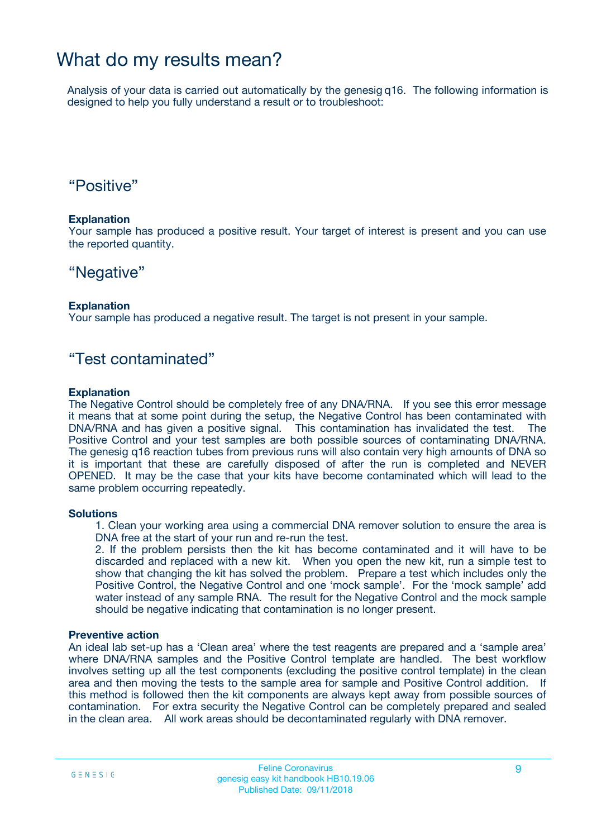### What do my results mean?

Analysis of your data is carried out automatically by the genesig q16. The following information is designed to help you fully understand a result or to troubleshoot:

### "Positive"

#### **Explanation**

Your sample has produced a positive result. Your target of interest is present and you can use the reported quantity.

### "Negative"

#### **Explanation**

Your sample has produced a negative result. The target is not present in your sample.

### "Test contaminated"

#### **Explanation**

The Negative Control should be completely free of any DNA/RNA. If you see this error message it means that at some point during the setup, the Negative Control has been contaminated with DNA/RNA and has given a positive signal. This contamination has invalidated the test. The Positive Control and your test samples are both possible sources of contaminating DNA/RNA. The genesig q16 reaction tubes from previous runs will also contain very high amounts of DNA so it is important that these are carefully disposed of after the run is completed and NEVER OPENED. It may be the case that your kits have become contaminated which will lead to the same problem occurring repeatedly.

#### **Solutions**

1. Clean your working area using a commercial DNA remover solution to ensure the area is DNA free at the start of your run and re-run the test.

2. If the problem persists then the kit has become contaminated and it will have to be discarded and replaced with a new kit. When you open the new kit, run a simple test to show that changing the kit has solved the problem. Prepare a test which includes only the Positive Control, the Negative Control and one 'mock sample'. For the 'mock sample' add water instead of any sample RNA. The result for the Negative Control and the mock sample should be negative indicating that contamination is no longer present.

#### **Preventive action**

An ideal lab set-up has a 'Clean area' where the test reagents are prepared and a 'sample area' where DNA/RNA samples and the Positive Control template are handled. The best workflow involves setting up all the test components (excluding the positive control template) in the clean area and then moving the tests to the sample area for sample and Positive Control addition. If this method is followed then the kit components are always kept away from possible sources of contamination. For extra security the Negative Control can be completely prepared and sealed in the clean area. All work areas should be decontaminated regularly with DNA remover.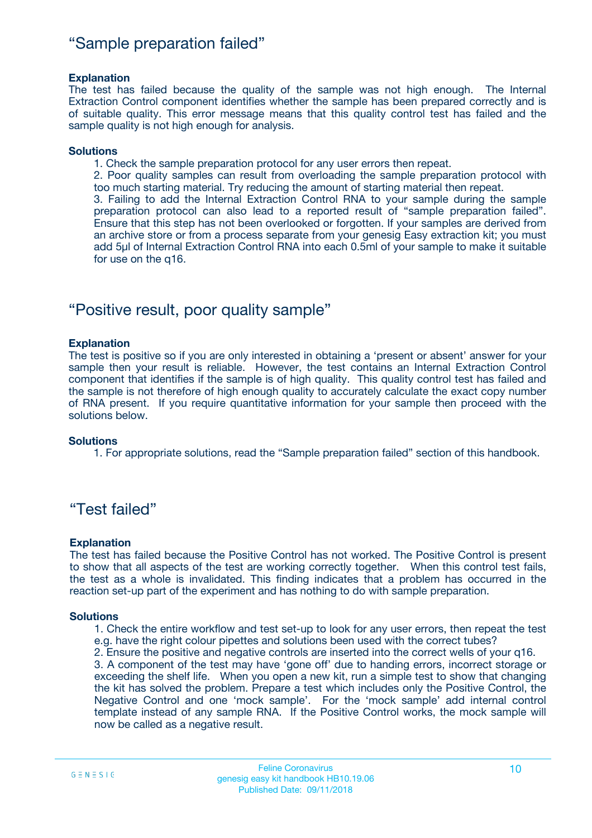### "Sample preparation failed"

#### **Explanation**

The test has failed because the quality of the sample was not high enough. The Internal Extraction Control component identifies whether the sample has been prepared correctly and is of suitable quality. This error message means that this quality control test has failed and the sample quality is not high enough for analysis.

#### **Solutions**

1. Check the sample preparation protocol for any user errors then repeat.

2. Poor quality samples can result from overloading the sample preparation protocol with too much starting material. Try reducing the amount of starting material then repeat.

3. Failing to add the Internal Extraction Control RNA to your sample during the sample preparation protocol can also lead to a reported result of "sample preparation failed". Ensure that this step has not been overlooked or forgotten. If your samples are derived from an archive store or from a process separate from your genesig Easy extraction kit; you must add 5µl of Internal Extraction Control RNA into each 0.5ml of your sample to make it suitable for use on the q16.

### "Positive result, poor quality sample"

#### **Explanation**

The test is positive so if you are only interested in obtaining a 'present or absent' answer for your sample then your result is reliable. However, the test contains an Internal Extraction Control component that identifies if the sample is of high quality. This quality control test has failed and the sample is not therefore of high enough quality to accurately calculate the exact copy number of RNA present. If you require quantitative information for your sample then proceed with the solutions below.

#### **Solutions**

1. For appropriate solutions, read the "Sample preparation failed" section of this handbook.

### "Test failed"

#### **Explanation**

The test has failed because the Positive Control has not worked. The Positive Control is present to show that all aspects of the test are working correctly together. When this control test fails, the test as a whole is invalidated. This finding indicates that a problem has occurred in the reaction set-up part of the experiment and has nothing to do with sample preparation.

#### **Solutions**

- 1. Check the entire workflow and test set-up to look for any user errors, then repeat the test e.g. have the right colour pipettes and solutions been used with the correct tubes?
- 2. Ensure the positive and negative controls are inserted into the correct wells of your q16.

3. A component of the test may have 'gone off' due to handing errors, incorrect storage or exceeding the shelf life. When you open a new kit, run a simple test to show that changing the kit has solved the problem. Prepare a test which includes only the Positive Control, the Negative Control and one 'mock sample'. For the 'mock sample' add internal control template instead of any sample RNA. If the Positive Control works, the mock sample will now be called as a negative result.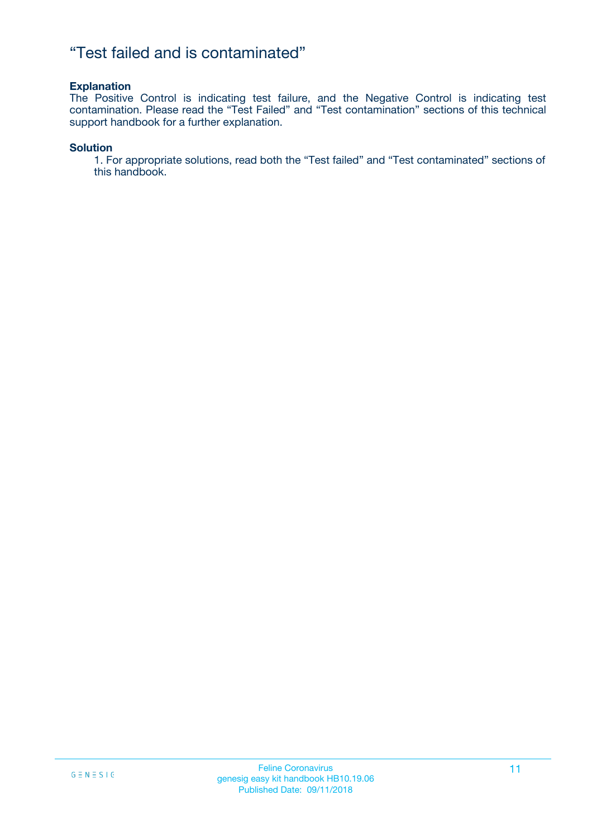### "Test failed and is contaminated"

#### **Explanation**

The Positive Control is indicating test failure, and the Negative Control is indicating test contamination. Please read the "Test Failed" and "Test contamination" sections of this technical support handbook for a further explanation.

#### **Solution**

1. For appropriate solutions, read both the "Test failed" and "Test contaminated" sections of this handbook.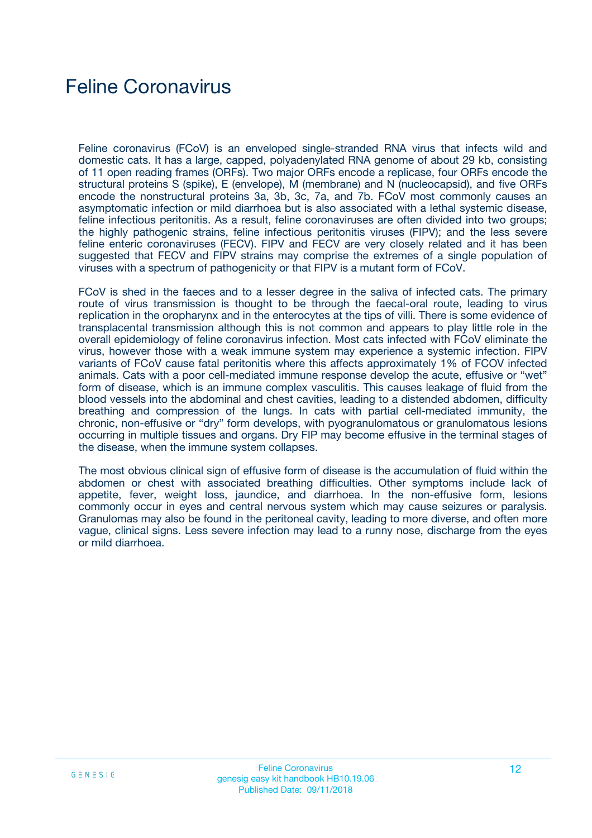## Feline Coronavirus

Feline coronavirus (FCoV) is an enveloped single-stranded RNA virus that infects wild and domestic cats. It has a large, capped, polyadenylated RNA genome of about 29 kb, consisting of 11 open reading frames (ORFs). Two major ORFs encode a replicase, four ORFs encode the structural proteins S (spike), E (envelope), M (membrane) and N (nucleocapsid), and five ORFs encode the nonstructural proteins 3a, 3b, 3c, 7a, and 7b. FCoV most commonly causes an asymptomatic infection or mild diarrhoea but is also associated with a lethal systemic disease, feline infectious peritonitis. As a result, feline coronaviruses are often divided into two groups; the highly pathogenic strains, feline infectious peritonitis viruses (FIPV); and the less severe feline enteric coronaviruses (FECV). FIPV and FECV are very closely related and it has been suggested that FECV and FIPV strains may comprise the extremes of a single population of viruses with a spectrum of pathogenicity or that FIPV is a mutant form of FCoV.

FCoV is shed in the faeces and to a lesser degree in the saliva of infected cats. The primary route of virus transmission is thought to be through the faecal-oral route, leading to virus replication in the oropharynx and in the enterocytes at the tips of villi. There is some evidence of transplacental transmission although this is not common and appears to play little role in the overall epidemiology of feline coronavirus infection. Most cats infected with FCoV eliminate the virus, however those with a weak immune system may experience a systemic infection. FIPV variants of FCoV cause fatal peritonitis where this affects approximately 1% of FCOV infected animals. Cats with a poor cell-mediated immune response develop the acute, effusive or "wet" form of disease, which is an immune complex vasculitis. This causes leakage of fluid from the blood vessels into the abdominal and chest cavities, leading to a distended abdomen, difficulty breathing and compression of the lungs. In cats with partial cell-mediated immunity, the chronic, non-effusive or "dry" form develops, with pyogranulomatous or granulomatous lesions occurring in multiple tissues and organs. Dry FIP may become effusive in the terminal stages of the disease, when the immune system collapses.

The most obvious clinical sign of effusive form of disease is the accumulation of fluid within the abdomen or chest with associated breathing difficulties. Other symptoms include lack of appetite, fever, weight loss, jaundice, and diarrhoea. In the non-effusive form, lesions commonly occur in eyes and central nervous system which may cause seizures or paralysis. Granulomas may also be found in the peritoneal cavity, leading to more diverse, and often more vague, clinical signs. Less severe infection may lead to a runny nose, discharge from the eyes or mild diarrhoea.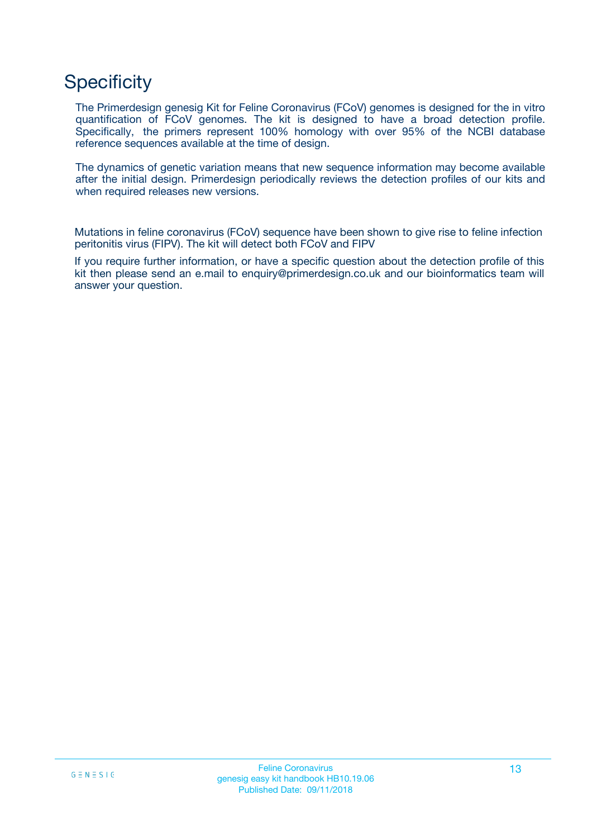## **Specificity**

The Primerdesign genesig Kit for Feline Coronavirus (FCoV) genomes is designed for the in vitro quantification of FCoV genomes. The kit is designed to have a broad detection profile. Specifically, the primers represent 100% homology with over 95% of the NCBI database reference sequences available at the time of design.

The dynamics of genetic variation means that new sequence information may become available after the initial design. Primerdesign periodically reviews the detection profiles of our kits and when required releases new versions.

Mutations in feline coronavirus (FCoV) sequence have been shown to give rise to feline infection peritonitis virus (FIPV). The kit will detect both FCoV and FIPV

If you require further information, or have a specific question about the detection profile of this kit then please send an e.mail to enquiry@primerdesign.co.uk and our bioinformatics team will answer your question.